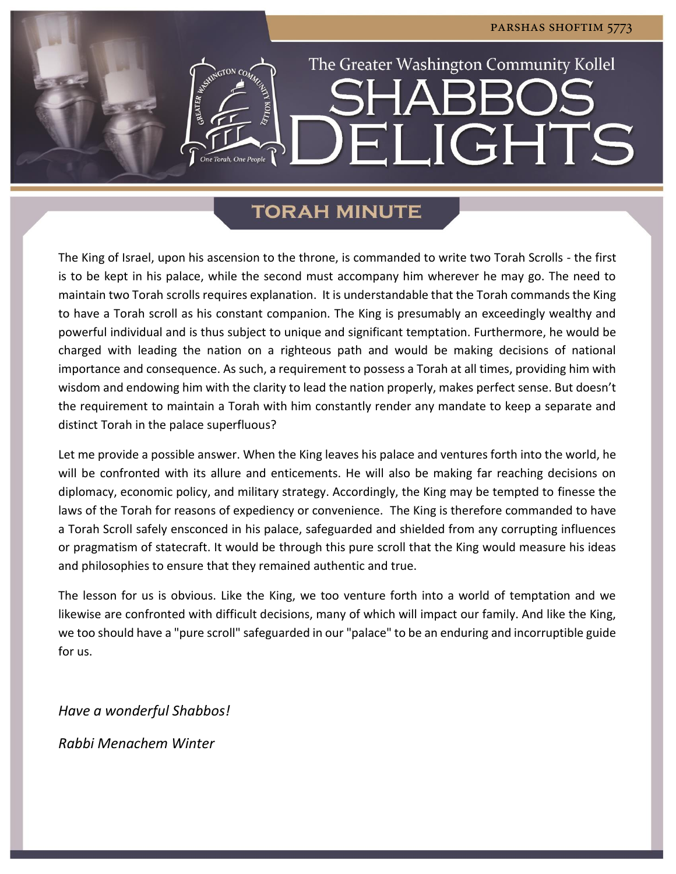**LIGHTS** 

The Greater Washington Community Kollel

# **TORAH MINUTE**

 $\mathbf{H}^{\prime}_{\mathbf{u}}$ 

The King of Israel, upon his ascension to the throne, is commanded to write two Torah Scrolls - the first is to be kept in his palace, while the second must accompany him wherever he may go. The need to maintain two Torah scrolls requires explanation. It is understandable that the Torah commands the King to have a Torah scroll as his constant companion. The King is presumably an exceedingly wealthy and powerful individual and is thus subject to unique and significant temptation. Furthermore, he would be charged with leading the nation on a righteous path and would be making decisions of national importance and consequence. As such, a requirement to possess a Torah at all times, providing him with wisdom and endowing him with the clarity to lead the nation properly, makes perfect sense. But doesn't the requirement to maintain a Torah with him constantly render any mandate to keep a separate and distinct Torah in the palace superfluous?

Let me provide a possible answer. When the King leaves his palace and ventures forth into the world, he will be confronted with its allure and enticements. He will also be making far reaching decisions on diplomacy, economic policy, and military strategy. Accordingly, the King may be tempted to finesse the laws of the Torah for reasons of expediency or convenience. The King is therefore commanded to have a Torah Scroll safely ensconced in his palace, safeguarded and shielded from any corrupting influences or pragmatism of statecraft. It would be through this pure scroll that the King would measure his ideas and philosophies to ensure that they remained authentic and true.

The lesson for us is obvious. Like the King, we too venture forth into a world of temptation and we likewise are confronted with difficult decisions, many of which will impact our family. And like the King, we too should have a "pure scroll" safeguarded in our "palace" to be an enduring and incorruptible guide for us.

*Have a wonderful Shabbos!*

*Rabbi Menachem Winter*